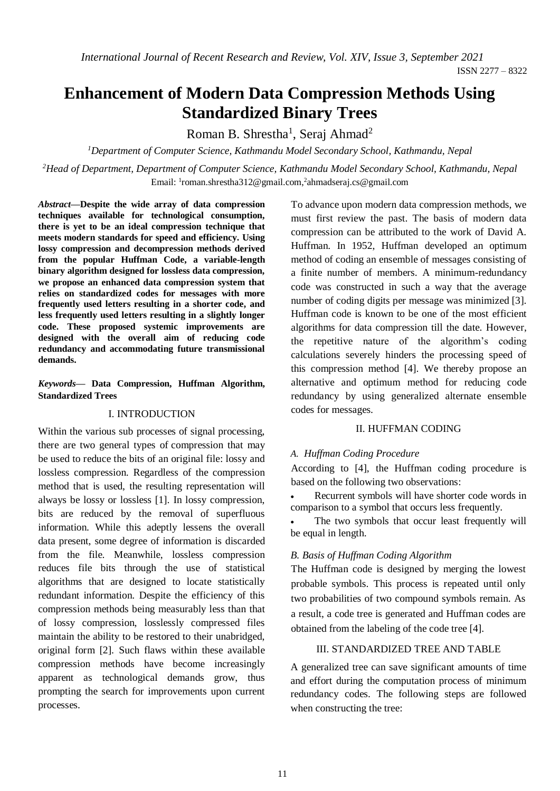# **Enhancement of Modern Data Compression Methods Using Standardized Binary Trees**

Roman B. Shrestha<sup>1</sup>, Seraj Ahmad<sup>2</sup>

*<sup>1</sup>Department of Computer Science, Kathmandu Model Secondary School, Kathmandu, Nepal*

*<sup>2</sup>Head of Department, Department of Computer Science, Kathmandu Model Secondary School, Kathmandu, Nepal* Email: <sup>1</sup>[roman.shrestha312@gmail.com,](mailto:1romansth@auraed.org)<sup>2</sup>[ahmadseraj.cs@gmail.com](mailto:2ahmadseraj.cs@gmail.com)

*Abstract***—Despite the wide array of data compression techniques available for technological consumption, there is yet to be an ideal compression technique that meets modern standards for speed and efficiency. Using lossy compression and decompression methods derived from the popular Huffman Code, a variable-length binary algorithm designed for lossless data compression, we propose an enhanced data compression system that relies on standardized codes for messages with more frequently used letters resulting in a shorter code, and less frequently used letters resulting in a slightly longer code. These proposed systemic improvements are designed with the overall aim of reducing code redundancy and accommodating future transmissional demands.**

## *Keywords***— Data Compression, Huffman Algorithm, Standardized Trees**

#### I. INTRODUCTION

Within the various sub processes of signal processing, there are two general types of compression that may be used to reduce the bits of an original file: lossy and lossless compression. Regardless of the compression method that is used, the resulting representation will always be lossy or lossless [1]. In lossy compression, bits are reduced by the removal of superfluous information. While this adeptly lessens the overall data present, some degree of information is discarded from the file. Meanwhile, lossless compression reduces file bits through the use of statistical algorithms that are designed to locate statistically redundant information. Despite the efficiency of this compression methods being measurably less than that of lossy compression, losslessly compressed files maintain the ability to be restored to their unabridged, original form [2]. Such flaws within these available compression methods have become increasingly apparent as technological demands grow, thus prompting the search for improvements upon current processes.

To advance upon modern data compression methods, we must first review the past. The basis of modern data compression can be attributed to the work of David A. Huffman. In 1952, Huffman developed an optimum method of coding an ensemble of messages consisting of a finite number of members. A minimum-redundancy code was constructed in such a way that the average number of coding digits per message was minimized [3]. Huffman code is known to be one of the most efficient algorithms for data compression till the date. However, the repetitive nature of the algorithm's coding calculations severely hinders the processing speed of this compression method [4]. We thereby propose an alternative and optimum method for reducing code redundancy by using generalized alternate ensemble codes for messages.

## II. HUFFMAN CODING

## *A. Huffman Coding Procedure*

According to [4], the Huffman coding procedure is based on the following two observations:

 Recurrent symbols will have shorter code words in comparison to a symbol that occurs less frequently.

 The two symbols that occur least frequently will be equal in length.

#### *B. Basis of Huffman Coding Algorithm*

The Huffman code is designed by merging the lowest probable symbols. This process is repeated until only two probabilities of two compound symbols remain. As a result, a code tree is generated and Huffman codes are obtained from the labeling of the code tree [4].

## III. STANDARDIZED TREE AND TABLE

A generalized tree can save significant amounts of time and effort during the computation process of minimum redundancy codes. The following steps are followed when constructing the tree: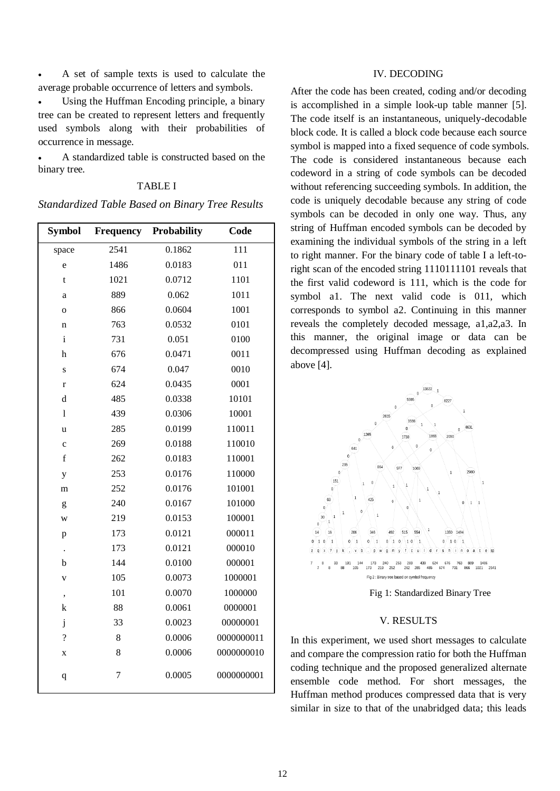A set of sample texts is used to calculate the average probable occurrence of letters and symbols.

 Using the Huffman Encoding principle, a binary tree can be created to represent letters and frequently used symbols along with their probabilities of occurrence in message.

 A standardized table is constructed based on the binary tree.

## TABLE I

*Standardized Table Based on Binary Tree Results*

| Symbol                   | <b>Frequency</b> | Probability | Code       |
|--------------------------|------------------|-------------|------------|
| space                    | 2541             | 0.1862      | 111        |
| e                        | 1486             | 0.0183      | 011        |
| t                        | 1021             | 0.0712      | 1101       |
| a                        | 889              | 0.062       | 1011       |
| $\mathbf{o}$             | 866              | 0.0604      | 1001       |
| n                        | 763              | 0.0532      | 0101       |
| $\mathbf{i}$             | 731              | 0.051       | 0100       |
| h                        | 676              | 0.0471      | 0011       |
| S                        | 674              | 0.047       | 0010       |
| $\bf r$                  | 624              | 0.0435      | 0001       |
| d                        | 485              | 0.0338      | 10101      |
| 1                        | 439              | 0.0306      | 10001      |
| u                        | 285              | 0.0199      | 110011     |
| $\ddot{c}$               | 269              | 0.0188      | 110010     |
| $\mathbf f$              | 262              | 0.0183      | 110001     |
| y                        | 253              | 0.0176      | 110000     |
| m                        | 252              | 0.0176      | 101001     |
| g                        | 240              | 0.0167      | 101000     |
| W                        | 219              | 0.0153      | 100001     |
| p                        | 173              | 0.0121      | 000011     |
| $\ddot{\phantom{0}}$     | 173              | 0.0121      | 000010     |
| b                        | 144              | 0.0100      | 000001     |
| V                        | 105              | 0.0073      | 1000001    |
| $\overline{\phantom{a}}$ | 101              | 0.0070      | 1000000    |
| k                        | 88               | 0.0061      | 0000001    |
| $\mathbf{j}$             | 33               | 0.0023      | 00000001   |
| $\overline{\mathcal{C}}$ | 8                | 0.0006      | 0000000011 |
| X                        | 8                | 0.0006      | 0000000010 |
| q                        | 7                | 0.0005      | 0000000001 |

## IV. DECODING

After the code has been created, coding and/or decoding is accomplished in a simple look-up table manner [5]. The code itself is an instantaneous, uniquely-decodable block code. It is called a block code because each source symbol is mapped into a fixed sequence of code symbols. The code is considered instantaneous because each codeword in a string of code symbols can be decoded without referencing succeeding symbols. In addition, the code is uniquely decodable because any string of code symbols can be decoded in only one way. Thus, any string of Huffman encoded symbols can be decoded by examining the individual symbols of the string in a left to right manner. For the binary code of table I a left-toright scan of the encoded string 1110111101 reveals that the first valid codeword is 111, which is the code for symbol a1. The next valid code is 011, which corresponds to symbol a2. Continuing in this manner reveals the completely decoded message, a1,a2,a3. In this manner, the original image or data can be decompressed using Huffman decoding as explained above [4].



Fig 1: Standardized Binary Tree

#### V. RESULTS

In this experiment, we used short messages to calculate and compare the compression ratio for both the Huffman coding technique and the proposed generalized alternate ensemble code method. For short messages, the Huffman method produces compressed data that is very similar in size to that of the unabridged data; this leads